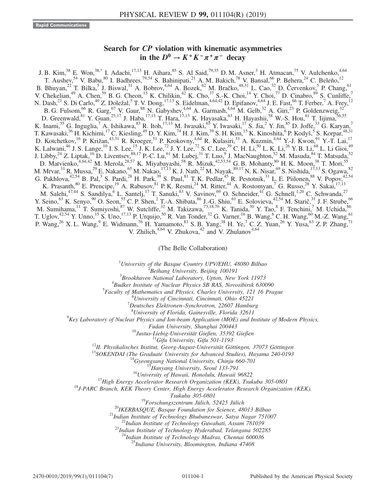## Search for CP violation with kinematic asymmetries in the  $D^0 \rightarrow K^+ K^- \pi^+ \pi^-$  decay

<span id="page-0-0"></span>J. B. Kim,<sup>38</sup> E. Won,<sup>3[8,\\*](#page-2-0)</sup> I. Adachi,<sup>17,13</sup> H. Aihara,<sup>85</sup> S. Al Said,<sup>79,35</sup> D. M. Asner,<sup>3</sup> H. Atmacan,<sup>75</sup> V. Aulchenko,<sup>4,64</sup> T. Aushev,<sup>54</sup> V. Babu,<sup>80</sup> I. Badhrees,<sup>79,34</sup> S. Bahinipati,<sup>21</sup> A. M. Bakich,<sup>78</sup> V. Bansal,<sup>66</sup> P. Behera,<sup>24</sup> C. Beleño,<sup>12</sup> B. Bhuyan,<sup>22</sup> T. Bilka,<sup>5</sup> J. Biswal,<sup>31</sup> A. Bobrov,<sup>4,64</sup> A. Bozek,<sup>62</sup> M. Bračko,<sup>48,31</sup> L. Cao,<sup>32</sup> D. Červenkov,<sup>5</sup> P. Chang,<sup>61</sup> V. Chekelian,<sup>49</sup> A. Chen,<sup>59</sup> B. G. Cheon,<sup>15</sup> K. Chilikin,<sup>42</sup> K. Cho,<sup>37</sup> S.-K. Choi,<sup>14</sup> Y. Choi,<sup>77</sup> D. Cinabro,<sup>89</sup> S. Cunliffe,<sup>7</sup> N. Dash,<sup>21</sup> S. Di Carlo,<sup>40</sup> Z. Doležal,<sup>5</sup> T. V. Dong,<sup>17,13</sup> S. Eidelman,<sup>4,64,42</sup> D. Epifanov,<sup>4,64</sup> J. E. Fast,<sup>66</sup> T. Ferber,<sup>7</sup> A. Frey,<sup>12</sup> B. G. Fulsom, <sup>66</sup> R. Garg, <sup>67</sup> V. Gaur, <sup>88</sup> N. Gabyshev, <sup>4,64</sup> A. Garmash, <sup>4,64</sup> M. Gelb, <sup>32</sup> A. Giri, <sup>23</sup> P. Goldenzweig, <sup>32</sup> D. Greenwald,  $81$  Y. Guan,  $25,17$  J. Haba,  $17,13$  T. Hara,  $17,13$  K. Hayasaka,  $63$  H. Hayashii,  $58$  W.-S. Hou,  $61$  T. Iijima,  $56,55$ K. Inami,<sup>55</sup> G. Inguglia,<sup>7</sup> A. Ishikawa,<sup>83</sup> R. Itoh,<sup>17,13</sup> M. Iwasaki,<sup>65</sup> Y. Iwasaki,<sup>17</sup> S. Jia,<sup>2</sup> Y. Jin,<sup>85</sup> D. Joffe,<sup>33</sup> G. Karyan,<sup>7</sup> T. Kawasaki,<sup>36</sup> H. Kichimi,<sup>17</sup> C. Kiesling,<sup>49</sup> D. Y. Kim,<sup>74</sup> H. J. Kim,<sup>39</sup> S. H. Kim,<sup>15</sup> K. Kinoshita,<sup>6</sup> P. Kodyš,<sup>5</sup> S. Korpar,<sup>48,31</sup> D. Kotchetkov,<sup>16</sup> P. Križan,<sup>43,31</sup> R. Kroeger,<sup>51</sup> P. Krokovny,<sup>4,64</sup> R. Kulasiri,<sup>33</sup> A. Kuzmin,<sup>4,64</sup> Y.-J. Kwon,<sup>91</sup> Y.-T. Lai,<sup>17</sup> K. Lalwani,<sup>46</sup> J. S. Lange,<sup>10</sup> I. S. Lee,<sup>15</sup> J. K. Lee,<sup>72</sup> J. Y. Lee,<sup>72</sup> S. C. Lee,<sup>39</sup> C. H. Li,<sup>50</sup> L. K. Li,<sup>26</sup> Y. B. Li,<sup>68</sup> L. Li Gioi,<sup>49</sup> J. Libby,<sup>24</sup> Z. Liptak,<sup>16</sup> D. Liventsev,<sup>88,17</sup> P.-C. Lu,<sup>61</sup> M. Lubej,<sup>31</sup> T. Luo,<sup>9</sup> J. MacNaughton,<sup>52</sup> M. Masuda,<sup>84</sup> T. Matsuda,<sup>52</sup> D. Matvienko, <sup>4,64,42</sup> M. Merola, <sup>28,57</sup> K. Miyabayashi, <sup>58</sup> R. Mizuk, <sup>42,53,54</sup> G. B. Mohanty, <sup>80</sup> H. K. Moon, <sup>38</sup> T. Mori, <sup>55</sup> M. Mrvar, $^{31}$  R. Mussa, $^{29}$  E. Nakano, $^{65}$  M. Nakao, $^{17,13}$  K. J. Nath, $^{22}$  M. Nayak, $^{89,17}$  N. K. Nisar, $^{69}$  S. Nishida, $^{17,13}$  S. Ogawa, $^{82}$ G. Pakhlova,  $42,54$  B. Pal,  $3$  S. Pardi,  $28$  H. Park,  $39$  S. Paul,  $81$  T. K. Pedlar,  $45$  R. Pestotnik,  $31$  L. E. Piilonen,  $88$  V. Popov,  $42,54$ K. Prasanth,  $80$  E. Prencipe,  $19$  A. Rabusov,  $81$  P. K. Resmi,  $24$  M. Ritter,  $44$  A. Rostomyan,  $7$  G. Russo,  $28$  Y. Sakai,  $17,13$ M. Salehi,<sup>47,44</sup> S. Sandilya,<sup>6</sup> L. Santelj,<sup>17</sup> T. Sanuki,<sup>83</sup> V. Savinov,<sup>69</sup> O. Schneider,<sup>41</sup> G. Schnell,<sup>1,20</sup> C. Schwanda,<sup>27</sup> Y. Seino,  $^{63}$  K. Senyo,  $^{90}$  O. Seon,  $^{55}$  C. P. Shen,  $^2$  T.-A. Shibata,  $^{86}$  J.-G. Shiu,  $^{61}$  E. Solovieva,  $^{42,54}$  M. Starič,  $^{31}$  J. F. Strube,  $^{66}$ M. Sumihama,<sup>11</sup> T. Sumiyoshi,<sup>87</sup> W. Sutcliffe,<sup>32</sup> M. Takizawa,<sup>73,18,70</sup> K. Tanida,<sup>30</sup> Y. Tao,<sup>8</sup> F. Tenchini,<sup>7</sup> M. Uchida,<sup>86</sup> T. Uglov,  $42,54$  Y. Unno,  $15$  S. Uno,  $17,13$  P. Urquijo,  $50$  R. Van Tonder,  $32$  G. Varner,  $16$  B. Wang,  $6$  C. H. Wang,  $60$  M.-Z. Wang,  $61$ P. Wang,<sup>26</sup> X. L. Wang,<sup>9</sup> E. Widmann,<sup>76</sup> H. Yamamoto,<sup>83</sup> S. B. Yang,<sup>38</sup> H. Ye,<sup>7</sup> C. Z. Yuan,<sup>26</sup> Y. Yusa,<sup>63</sup> Z. P. Zhang,<sup>71</sup> V. Zhilich, $4,64$  V. Zhukova, $42$  and V. Zhulanov $4,64$ 

(The Belle Collaboration)

<sup>1</sup>University of the Basque Country UPV/EHU, 48080 Bilbao  $\frac{2 \text{ B} \text{g} \cdot \text{h}}{2 \text{ B} \text{g} \cdot \text{h}}$  are properties and  $\frac{2 \text{ B} \text{g}}{2 \text{ g}}$  and  $\frac{2 \text{ B} \text{g}}{2 \text{ g}}$  and  $\frac{2 \text{ B} \text{g}}{2 \text{ g}}$  and  $\frac{2 \text{ B} \text{g}}{2$ 

 $B$ eihang University, Beijing 100191

 $3B$ rookhaven National Laboratory, Upton, New York 11973

 $4$ Budker Institute of Nuclear Physics SB RAS, Novosibirsk 630090

 ${}^{5}$ Faculty of Mathematics and Physics, Charles University, 121 16 Prague

 ${}^{6}$ University of Cincinnati, Cincinnati, Ohio 45221

 $^7$ Deutsches Elektronen–Synchrotron, 22607 Hamburg  $^8$ University of Florida, Gainesville, Florida 32611

<sup>8</sup>University of Florida, Gainesville, Florida 32611<br><sup>9</sup>Key Laboratory of Nuclear Physics and Ion-beam Application (MOE) and Institute of Modern Physics,

Fudan University, Shanghai 200443<br><sup>10</sup>Justus-Liebig-Universität Gießen, 35392 Gießen<br><sup>11</sup>Gifu University, Gifu 501-1193<br><sup>12</sup>II. Physikalisches Institut, Georg-August-Universität Göttingen, 37073 Göttingen<br><sup>13</sup>SOKENDAI (The

Tsukuba 305-0801<br><sup>19</sup>Forschungszentrum Jülich, 52425 Jülich<br><sup>20</sup>IKERBASQUE, Basque Foundation for Science, 48013 Bilbao<br><sup>21</sup>Indian Institute of Technology Bhubaneswar, Satya Nagar 751007<br><sup>22</sup>Indian Institute of Technology

<sup>24</sup>Indian Institute of Technology Madras, Chennai 600036<br><sup>25</sup>Indiana University, Bloomington, Indiana 47408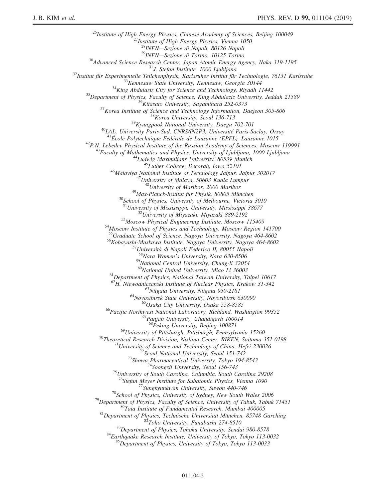<sup>26</sup>Institute of High Energy Physics, Chinese Academy of Sciences, Beijing 100049<br><sup>27</sup>Institute of High Energy Physics, Vienna 1050<br><sup>28</sup>INFN—Sezione di Napoli, 80126 Napoli  $\begin{tabular}{c c c c c c c c} 28 NFPN—Sezione & Napoli, 80126 Napoli \\ 28 NFPN—Sezione & Nonchi, 10125 Torino \\ 28 NFPN—Seisence & Rosearch Center, Japan Atomic Energy Agency, Naka 319-1195 \\ 291, Stefan Institute, 1000 Ljubljana \\ 21. Stefan Institute, 1000 Ljubljana \\ 221/21. Siefan Institute, 1000 Ljubljana \\ 231/21. Siefan Institute for the following. The image of the following, the following, 201/21. Sieptics, Faculty of Science and Technology, Riyadh 11442 \\ 24. S'Depart$ <sup>50</sup>School of Physics, University of Melbourne, Victoria 3010<br><sup>51</sup>University of Mississippi, University, Mississippi 38677<br><sup>52</sup>University of Miyazaki, Miyazaki 889-2192<br><sup>53</sup>Moscow Physical Engineering Institute, Moscow 11 <sup>56</sup>Kobayashi-Maskawa Institute, Nagoya University, Nagoya 464-8602<br><sup>57</sup>Università di Napoli Federico II, 80055 Napoli<br><sup>58</sup>Nara Women's University, Nara 630-8506  $^{59}$ National Central University, Chung-li 32054<br> $^{60}$ National United University, Miao Li 36003 <sup>61</sup>Department of Physics, National Taiwan University, Taipei 10617<br><sup>62</sup>H. Niewodniczanski Institute of Nuclear Physics, Krakow 31-342 <sup>63</sup>Niigata University, Niigata 950-2181<br><sup>64</sup>Novosibirsk State University, Novosibirsk 630090<br><sup>65</sup>Osaka City University, Osaka 558-8585<br><sup>66</sup>Pacific Northwest National Laboratory, Richland, Washington 99352<br><sup>67</sup>Panjab Univ  $^{68}$ Peking University, Beijing 100871<br><sup>69</sup>University of Pittsburgh, Pittsburgh, Pennsylvania 15260 <sup>70</sup>Theoretical Research Division, Nishina Center, RIKEN, Saitama 351-0198<br><sup>71</sup>University of Science and Technology of China, Hefei 230026<br><sup>72</sup>Seoul National University, Seoul 151-742<br><sup>73</sup>Showa Pharmaceutical University, <sup>77</sup>Sungkyunkwan University, Suwon 440-746<br>
<sup>78</sup>School of Physics, University of Sydney, New South Wales 2006<br>
<sup>79</sup>Department of Physics, Faculty of Science, University of Tabuk, Tabuk 71451<br>
<sup>80</sup>Tata Institute of Fundame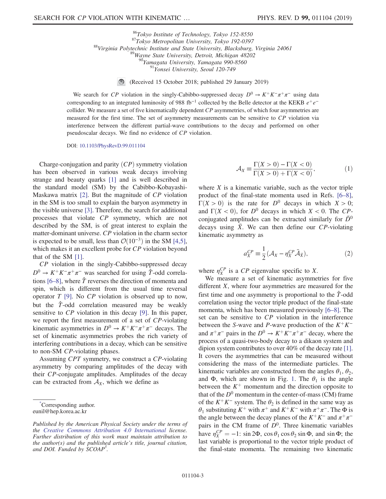<sup>86</sup>Tokyo Institute of Technology, Tokyo 152-8550<br><sup>87</sup>Tokyo Metropolitan University, Tokyo 192-0397<br><sup>88</sup>Virginia Polytechnic Institute and State University, Blacksburg, Virginia 24061<br><sup>89</sup>Wayne State University, Detroit,

(Received 15 October 2018; published 29 January 2019)

We search for CP violation in the singly-Cabibbo-suppressed decay  $D^0 \to K^+K^-\pi^+\pi^-$  using data corresponding to an integrated luminosity of 988 fb<sup>-1</sup> collected by the Belle detector at the KEKB  $e^+e^$ collider. We measure a set of five kinematically dependent  $CP$  asymmetries, of which four asymmetries are measured for the first time. The set of asymmetry measurements can be sensitive to CP violation via interference between the different partial-wave contributions to the decay and performed on other pseudoscalar decays. We find no evidence of CP violation.

DOI: [10.1103/PhysRevD.99.011104](https://doi.org/10.1103/PhysRevD.99.011104)

Charge-conjugation and parity  $(CP)$  symmetry violation has been observed in various weak decays involving strange and beauty quarks [\[1\]](#page-6-0) and is well described in the standard model (SM) by the Cabibbo-Kobayashi-Maskawa matrix [\[2\].](#page-6-1) But the magnitude of CP violation in the SM is too small to explain the baryon asymmetry in the visible universe [\[3\]](#page-6-2). Therefore, the search for additional processes that violate CP symmetry, which are not described by the SM, is of great interest to explain the matter-dominant universe. CP violation in the charm sector is expected to be small, less than  $\mathcal{O}(10^{-3})$  in the SM [\[4,5\]](#page-6-3), which makes it an excellent probe for CP violation beyond that of the SM [\[1\].](#page-6-0)

CP violation in the singly-Cabibbo-suppressed decay  $D^0 \to K^+K^-\pi^+\pi^-$  was searched for using  $\hat{T}$ -odd correla-tions [6–[8\]](#page-6-4), where  $\hat{T}$  reverses the direction of momenta and spin, which is different from the usual time reversal operator  $T$  [\[9\].](#page-6-5) No  $\mathbb{CP}$  violation is observed up to now, but the  $\hat{T}$ -odd correlation measured may be weakly sensitive to CP violation in this decay [\[9\].](#page-6-5) In this paper, we report the first measurement of a set of CP-violating kinematic asymmetries in  $D^0 \to K^+K^-\pi^+\pi^-$  decays. The set of kinematic asymmetries probes the rich variety of interfering contributions in a decay, which can be sensitive to non-SM CP-violating phases.

Assuming CPT symmetry, we construct a CP-violating asymmetry by comparing amplitudes of the decay with their CP-conjugate amplitudes. Amplitudes of the decay can be extracted from  $A_X$ , which we define as

<span id="page-2-0"></span>[\\*](#page-0-0) Corresponding author.

$$
\mathcal{A}_X \equiv \frac{\Gamma(X > 0) - \Gamma(X < 0)}{\Gamma(X > 0) + \Gamma(X < 0)},\tag{1}
$$

where  $X$  is a kinematic variable, such as the vector triple product of the final-state momenta used in Refs. [\[6](#page-6-4)–8],  $\Gamma(X > 0)$  is the rate for  $D^0$  decays in which  $X > 0$ ; and  $\Gamma(X < 0)$ , for  $D^0$  decays in which  $X < 0$ . The CPconjugated amplitudes can be extracted similarly for  $\bar{D}^0$ decays using  $\bar{X}$ . We can then define our CP-violating kinematic asymmetry as

$$
a_X^{CP} \equiv \frac{1}{2} (\mathcal{A}_X - \eta_X^{CP} \bar{\mathcal{A}}_{\bar{X}}), \tag{2}
$$

where  $\eta_X^{CP}$  is a CP eigenvalue specific to X.

We measure a set of kinematic asymmetries for five different X, where four asymmetries are measured for the first time and one asymmetry is proportional to the  $\hat{T}$ -odd correlation using the vector triple product of the final-state momenta, which has been measured previously [\[6](#page-6-4)–8]. The set can be sensitive to CP violation in the interference between the S-wave and P-wave production of the  $K^+K^$ and  $\pi^+\pi^-$  pairs in the  $D^0 \to K^+K^-\pi^+\pi^-$  decay, where the process of a quasi-two-body decay to a dikaon system and dipion system contributes to over 40% of the decay rate [\[1\]](#page-6-0). It covers the asymmetries that can be measured without considering the mass of the intermediate particles. The kinematic variables are constructed from the angles  $\theta_1$ ,  $\theta_2$ , and  $\Phi$ , which are shown in Fig. [1](#page-3-0). The  $\theta_1$  is the angle between the  $K^+$  momentum and the direction opposite to that of the  $D^0$  momentum in the center-of-mass (CM) frame of the  $K^+K^-$  system. The  $\theta_2$  is defined in the same way as  $\theta_1$  substituting K<sup>+</sup> with  $\pi$ <sup>+</sup> and K<sup>+</sup>K<sup>−</sup> with  $\pi$ <sup>+</sup> $\pi$ <sup>−</sup>. The  $\Phi$  is the angle between the decay planes of the  $K^+K^-$  and  $\pi^+\pi^$ pairs in the CM frame of  $D^0$ . Three kinematic variables have  $\eta_X^{CP} = -1$ : sin 2 $\Phi$ , cos  $\theta_1$  cos  $\theta_2$  sin  $\Phi$ , and sin  $\Phi$ ; the last variable is proportional to the vector triple product of the final-state momenta. The remaining two kinematic

eunil@hep.korea.ac.kr

Published by the American Physical Society under the terms of the [Creative Commons Attribution 4.0 International](https://creativecommons.org/licenses/by/4.0/) license. Further distribution of this work must maintain attribution to the author(s) and the published article's title, journal citation, and DOI. Funded by SCOAP<sup>3</sup>.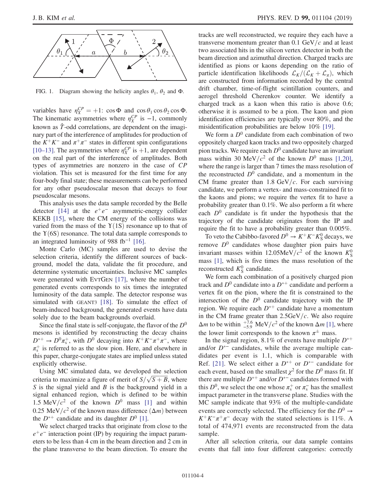<span id="page-3-0"></span>

FIG. 1. Diagram showing the helicity angles  $\theta_1$ ,  $\theta_2$  and  $\Phi$ .

variables have  $\eta_X^{CP} = +1$ : cos  $\Phi$  and cos  $\theta_1 \cos \theta_2 \cos \Phi$ . The kinematic asymmetries where  $\eta_X^{CP}$  is -1, commonly known as  $\hat{T}$ -odd correlations, are dependent on the imaginary part of the interference of amplitudes for production of the  $K^+K^-$  and  $\pi^+\pi^-$  states in different spin configurations [\[10](#page-6-6)–13]. The asymmetries where  $\eta_X^{CP}$  is +1, are dependent on the real part of the interference of amplitudes. Both types of asymmetries are nonzero in the case of CP violation. This set is measured for the first time for any four-body final state; these measurements can be performed for any other pseudoscalar meson that decays to four pseudoscalar mesons.

This analysis uses the data sample recorded by the Belle detector [\[14\]](#page-6-7) at the  $e^+e^-$  asymmetric-energy collider KEKB [\[15\],](#page-6-8) where the CM energy of the collisions was varied from the mass of the  $Y(1S)$  resonance up to that of the  $Y(6S)$  resonance. The total data sample corresponds to an integrated luminosity of 988 fb<sup>-1</sup> [\[16\].](#page-6-9)

Monte Carlo (MC) samples are used to devise the selection criteria, identify the different sources of background, model the data, validate the fit procedure, and determine systematic uncertainties. Inclusive MC samples were generated with EVTGEN [\[17\]](#page-6-10), where the number of generated events corresponds to six times the integrated luminosity of the data sample. The detector response was simulated with GEANT3 [\[18\].](#page-6-11) To simulate the effect of beam-induced background, the generated events have data solely due to the beam backgrounds overlaid.

Since the final state is self-conjugate, the flavor of the  $D^0$ mesons is identified by reconstructing the decay chains  $D^{*+} \to D^0 \pi_s^+$ , with  $D^0$  decaying into  $K^+ K^- \pi^+ \pi^-$ , where  $\pi_s^+$  is referred to as the slow pion. Here, and elsewhere in this paper, charge-conjugate states are implied unless stated explicitly otherwise.

Using MC simulated data, we developed the selection Using MC simulated data, we developed the selection criteria to maximize a figure of merit of  $S/\sqrt{S+B}$ , where S is the signal yield and  $B$  is the background yield in a signal enhanced region, which is defined to be within 1.5 MeV/ $c^2$  of the known  $D^0$  mass [\[1\]](#page-6-0) and within 0.25 MeV/ $c^2$  of the known mass difference  $(\Delta m)$  between the  $D^{*+}$  candidate and its daughter  $D^0$  [\[1\]](#page-6-0).

We select charged tracks that originate from close to the  $e^+e^-$  interaction point (IP) by requiring the impact parameters to be less than 4 cm in the beam direction and 2 cm in the plane transverse to the beam direction. To ensure the tracks are well reconstructed, we require they each have a transverse momentum greater than  $0.1$  GeV/c and at least two associated hits in the silicon vertex detector in both the beam direction and azimuthal direction. Charged tracks are identified as pions or kaons depending on the ratio of particle identification likelihoods  $\mathcal{L}_K/(\mathcal{L}_K+\mathcal{L}_\pi)$ , which are constructed from information recorded by the central drift chamber, time-of-flight scintillation counters, and aerogel threshold Cherenkov counter. We identify a charged track as a kaon when this ratio is above 0.6; otherwise it is assumed to be a pion. The kaon and pion identification efficiencies are typically over 80%, and the misidentification probabilities are below 10% [\[19\]](#page-6-12).

We form a  $D^0$  candidate from each combination of two oppositely charged kaon tracks and two oppositely charged pion tracks. We require each  $D^0$  candidate have an invariant mass within 30 MeV/ $c^2$  of the known  $D^0$  mass [\[1,20\]](#page-6-0), where the range is larger than 7 times the mass resolution of the reconstructed  $D^0$  candidate, and a momentum in the CM frame greater than 1.8 GeV/ $c$ . For each surviving candidate, we perform a vertex- and mass-constrained fit to the kaons and pions; we require the vertex fit to have a probability greater than 0.1%. We also perform a fit where each  $D^0$  candidate is fit under the hypothesis that the trajectory of the candidate originates from the IP and require the fit to have a probability greater than 0.005%.

To veto the Cabibbo-favored  $D^0 \to K^+K^-K^0_S$  decays, we remove  $D^0$  candidates whose daughter pion pairs have invariant masses within 12.05MeV/ $c^2$  of the known  $K^0_S$ mass [\[1\]](#page-6-0), which is five times the mass resolution of the reconstructed  $K_S^0$  candidate.

We form each combination of a positively charged pion track and  $D^0$  candidate into a  $D^{*+}$  candidate and perform a vertex fit on the pion, where the fit is constrained to the intersection of the  $D^0$  candidate trajectory with the IP region. We require each  $D^{*+}$  candidate have a momentum in the CM frame greater than  $2.5 \text{GeV}/c$ . We also require  $\Delta m$  to be within  $^{+7.6}_{-5.9}$  MeV/ $c^2$  of the known  $\Delta m$  [\[1\],](#page-6-0) where the lower limit corresponds to the known  $\pi^{\pm}$  mass.

In the signal region, 8.1% of events have multiple  $D^{*+}$ and/or  $D^{*-}$  candidates, while the average multiple candidates per event is 1.1, which is comparable with Ref. [\[21\]](#page-6-13). We select either a  $D^{*+}$  or  $D^{*-}$  candidate for each event, based on the smallest  $\chi^2$  for the  $D^0$  mass fit. If there are multiple  $D^{*+}$  and/or  $D^{*-}$  candidates formed with this  $D^0$ , we select the one whose  $\pi_s^+$  or  $\pi_s^-$  has the smallest impact parameter in the transverse plane. Studies with the MC sample indicate that 93% of the multiple-candidate events are correctly selected. The efficiency for the  $D^0 \rightarrow$  $K^+K^-\pi^+\pi^-$  decay with the stated selections is 11%. A total of 474,971 events are reconstructed from the data sample.

After all selection criteria, our data sample contains events that fall into four different categories: correctly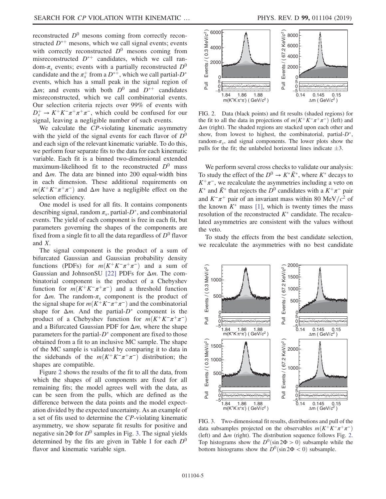reconstructed  $D^0$  mesons coming from correctly reconstructed  $D^{*+}$  mesons, which we call signal events; events with correctly reconstructed  $D^0$  mesons coming from misreconstructed  $D^{*+}$  candidates, which we call random- $\pi_s$  events; events with a partially reconstructed  $D^0$ candidate and the  $\pi_s^+$  from a  $D^{*+}$ , which we call partial- $D^*$ events, which has a small peak in the signal region of  $\Delta m$ ; and events with both  $D^0$  and  $D^{*+}$  candidates misreconstructed, which we call combinatorial events. Our selection criteria rejects over 99% of events with  $D_s^+ \to K^+K^-\pi^+\pi^+\pi^-$ , which could be confused for our signal, leaving a negligible number of such events.

We calculate the CP-violating kinematic asymmetry with the yield of the signal events for each flavor of  $D^0$ and each sign of the relevant kinematic variable. To do this, we perform four separate fits to the data for each kinematic variable. Each fit is a binned two-dimensional extended maximum-likelihood fit to the reconstructed  $D^0$  mass and  $\Delta m$ . The data are binned into 200 equal-width bins in each dimension. These additional requirements on  $m(K^+K^-\pi^+\pi^-)$  and  $\Delta m$  have a negligible effect on the selection efficiency.

One model is used for all fits. It contains components describing signal, random  $\pi_s$ , partial- $D^*$ , and combinatorial events. The yield of each component is free in each fit, but parameters governing the shapes of the components are fixed from a single fit to all the data regardless of  $D^0$  flavor and X.

The signal component is the product of a sum of bifurcated Gaussian and Gaussian probability density functions (PDFs) for  $m(K^+K^-\pi^+\pi^-)$  and a sum of Gaussian and JohnsonSU [\[22\]](#page-6-14) PDFs for  $\Delta m$ . The combinatorial component is the product of a Chebyshev function for  $m(K^+K^-\pi^+\pi^-)$  and a threshold function for  $\Delta m$ . The random- $\pi_s$  component is the product of the signal shape for  $m(K^+K^-\pi^+\pi^-)$  and the combinatorial shape for  $\Delta m$ . And the partial- $D^*$  component is the product of a Chebyshev function for  $m(K^+K^-\pi^+\pi^-)$ and a Bifurcated Gaussian PDF for  $\Delta m$ , where the shape parameters for the partial- $D^*$  component are fixed to those obtained from a fit to an inclusive MC sample. The shape of the MC sample is validated by comparing it to data in the sidebands of the  $m(K^+K^-\pi^+\pi^-)$  distribution; the shapes are compatible.

Figure [2](#page-4-0) shows the results of the fit to all the data, from which the shapes of all components are fixed for all remaining fits; the model agrees well with the data, as can be seen from the pulls, which are defined as the difference between the data points and the model expectation divided by the expected uncertainty. As an example of a set of fits used to determine the CP-violating kinematic asymmetry, we show separate fit results for positive and negative sin  $2\Phi$  for  $D^0$  samples in Fig. [3](#page-4-1). The signal yields determined by the fits are given in Table [I](#page-5-0) for each  $D^0$ flavor and kinematic variable sign.

<span id="page-4-0"></span>

FIG. 2. Data (black points) and fit results (shaded regions) for the fit to all the data in projections of  $m(K^+K^-\pi^+\pi^-)$  (left) and  $\Delta m$  (right). The shaded regions are stacked upon each other and show, from lowest to highest, the combinatorial, partial- $D^*$ , random- $\pi_s$ , and signal components. The lower plots show the pulls for the fit; the unlabeled horizontal lines indicate  $\pm 3$ .

We perform several cross checks to validate our analysis: To study the effect of the  $D^0 \to K^* \bar{K}^*$ , where  $K^*$  decays to  $K^+\pi^-$ , we recalculate the asymmetries including a veto on  $K^*$  and  $\bar{K}^*$  that rejects the  $D^0$  candidates with a  $K^+\pi^-$  pair and  $K^-\pi^+$  pair of an invariant mass within 80 MeV/ $c^2$  of the known  $K^*$  mass [\[1\],](#page-6-0) which is twenty times the mass resolution of the reconstructed  $K^*$  candidate. The recalculated asymmetries are consistent with the values without the veto.

To study the effects from the best candidate selection,

<span id="page-4-1"></span>

FIG. 3. Two-dimensional fit results, distributions and pull of the data subsamples projected on the observables  $m(K^+K^-\pi^+\pi^-)$ (left) and  $\Delta m$  (right). The distribution sequence follows Fig. [2.](#page-4-0) Top histograms show the  $D^0(\sin 2\Phi > 0)$  subsample while the bottom histograms show the  $D^0$ (sin 2Φ < 0) subsample.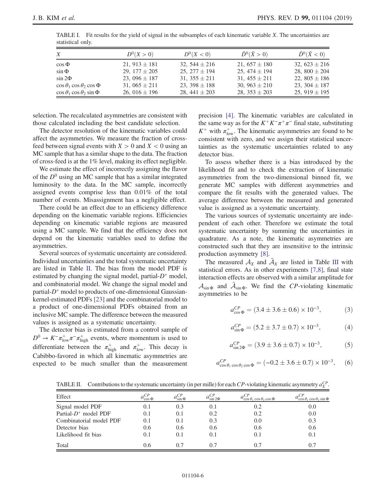| $X_{-}$                                 | $D^{0}(X > 0)$    | $D^{0}(X< 0)$     | $\bar{D}^0(\bar{X} > 0)$ | $\bar{D}^0(\bar{X}<0)$ |
|-----------------------------------------|-------------------|-------------------|--------------------------|------------------------|
| $\cos \Phi$                             | 21, $913 \pm 181$ | 32, $544 \pm 216$ | 21, $657 \pm 180$        | 32, $623 \pm 216$      |
| $\sin \Phi$                             | 29, $177 \pm 205$ | 25, $277 \pm 194$ | 25, $474 \pm 194$        | 28, $800 \pm 204$      |
| $\sin 2\Phi$                            | 23, 096 $\pm$ 187 | 31, $355 \pm 211$ | 31, $455 \pm 211$        | 22, $805 \pm 186$      |
| $\cos \theta_1 \cos \theta_2 \cos \Phi$ | 31, $065 \pm 211$ | 23, $398 \pm 188$ | 30, $963 \pm 210$        | 23, $304 \pm 187$      |
| $\cos \theta_1 \cos \theta_2 \sin \Phi$ | 26, 016 $\pm$ 196 | 28, $441 \pm 203$ | 28, $353 \pm 203$        | 25, 919 $\pm$ 195      |

<span id="page-5-0"></span>TABLE I. Fit results for the yield of signal in the subsamples of each kinematic variable  $X$ . The uncertainties are statistical only.

selection. The recalculated asymmetries are consistent with those calculated including the best candidate selection.

The detector resolution of the kinematic variables could affect the asymmetries. We measure the fraction of crossfeed between signal events with  $X > 0$  and  $X < 0$  using an MC sample that has a similar shape to the data. The fraction of cross-feed is at the 1% level, making its effect negligible.

We estimate the effect of incorrectly assigning the flavor of the  $D^0$  using an MC sample that has a similar integrated luminosity to the data. In the MC sample, incorrectly assigned events comprise less than 0.01% of the total number of events. Misassignment has a negligible effect.

There could be an effect due to an efficiency difference depending on the kinematic variable regions. Efficiencies depending on kinematic variable regions are measured using a MC sample. We find that the efficiency does not depend on the kinematic variables used to define the asymmetries.

Several sources of systematic uncertainty are considered. Individual uncertainties and the total systematic uncertainty are listed in Table [II.](#page-5-1) The bias from the model PDF is estimated by changing the signal model, partial- $D^*$  model, and combinatorial model. We change the signal model and partial- $D^*$  model to products of one-dimensional Gaussiankernel-estimated PDFs [\[23\]](#page-6-15) and the combinatorial model to a product of one-dimensional PDFs obtained from an inclusive MC sample. The difference between the measured values is assigned as a systematic uncertainty.

The detector bias is estimated from a control sample of  $D^0 \to K^- \pi_{\text{low}}^+ \pi^- \pi_{\text{high}}^+$  events, where momentum is used to differentiate between the  $\pi_{\text{high}}^+$  and  $\pi_{\text{low}}^+$ . This decay is Cabibbo-favored in which all kinematic asymmetries are expected to be much smaller than the measurement precision [\[4\]](#page-6-3). The kinematic variables are calculated in the same way as for the  $K^+K^-\pi^+\pi^-$  final state, substituting  $K^+$  with  $\pi_{\text{low}}^+$ . The kinematic asymmetries are found to be consistent with zero, and we assign their statistical uncertainties as the systematic uncertainties related to any detector bias.

To assess whether there is a bias introduced by the likelihood fit and to check the extraction of kinematic asymmetries from the two-dimensional binned fit, we generate MC samples with different asymmetries and compare the fit results with the generated values. The average difference between the measured and generated value is assigned as a systematic uncertainty.

The various sources of systematic uncertainty are independent of each other. Therefore we estimate the total systematic uncertainty by summing the uncertainties in quadrature. As a note, the kinematic asymmetries are constructed such that they are insensitive to the intrinsic production asymmetry [\[8\].](#page-6-16)

The measured  $A_X$  and  $\overline{A}_X$  are listed in Table [III](#page-6-17) with statistical errors. As in other experiments [\[7,8\],](#page-6-18) final state interaction effects are observed with a similar amplitude for  $A_{\sin\Phi}$  and  $\overline{A}_{\sin\Phi}$ . We find the CP-violating kinematic asymmetries to be

$$
a_{\cos\Phi}^{CP} = (3.4 \pm 3.6 \pm 0.6) \times 10^{-3},\tag{3}
$$

$$
a_{\sin\Phi}^{CP} = (5.2 \pm 3.7 \pm 0.7) \times 10^{-3}, \tag{4}
$$

$$
a_{\sin 2\Phi}^{CP} = (3.9 \pm 3.6 \pm 0.7) \times 10^{-3},\tag{5}
$$

$$
a_{\cos\theta_1\cos\theta_2\cos\Phi}^{CP} = (-0.2 \pm 3.6 \pm 0.7) \times 10^{-3}, \quad (6)
$$

<span id="page-5-1"></span>TABLE II. Contributions to the systematic uncertainty (in per mille) for each CP-violating kinematic asymmetry  $a_X^{CP}$ .

| Effect                   | $a^{CP}_{\cos \Phi}$ | $a_{\sin\Phi}^{CP}$ | $u_{\sin 2\Phi}$ | $\cos \theta_1 \cos \theta_2 \cos \Phi$ | $\cos \theta_1 \cos \theta_2 \sin \Phi$ |
|--------------------------|----------------------|---------------------|------------------|-----------------------------------------|-----------------------------------------|
| Signal model PDF         | 0.1                  | 0.3                 | 0.1              | 0.2                                     | 0.0                                     |
| Partial- $D^*$ model PDF | 0.1                  | 0.1                 | 0.2              | 0.2                                     | 0.0                                     |
| Combinatorial model PDF  | 0.1                  | 0.1                 | 0.3              | 0.0                                     | 0.3                                     |
| Detector bias            | 0.6                  | 0.6                 | 0.6              | 0.6                                     | 0.6                                     |
| Likelihood fit bias      | 0.1                  | (0.1)               | 0.1              | 0.1                                     | 0.1                                     |
| Total                    | 0.6                  | 0.7                 | 0.7              |                                         | 0.7                                     |